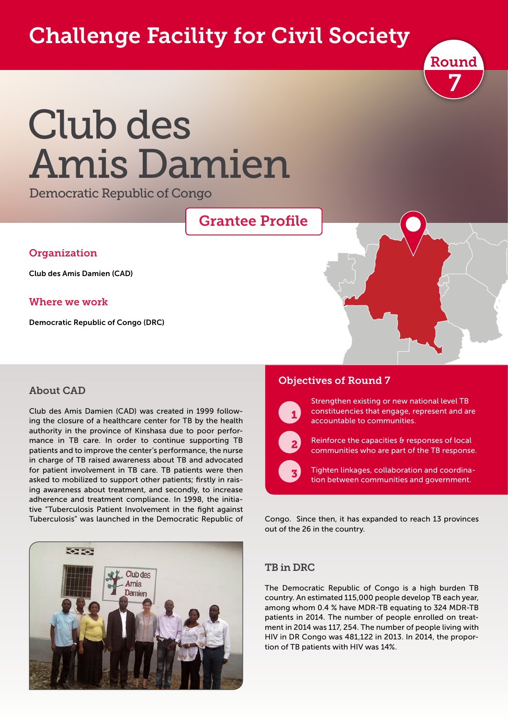# Challenge Facility for Civil Society



# Club des Amis Damien

Democratic Republic of Congo

## Grantee Profile

#### **Organization**

Club des Amis Damien (CAD)

#### Where we work

Democratic Republic of Congo (DRC)

#### About CAD

Club des Amis Damien (CAD) was created in 1999 following the closure of a healthcare center for TB by the health authority in the province of Kinshasa due to poor performance in TB care. In order to continue supporting TB patients and to improve the center's performance, the nurse in charge of TB raised awareness about TB and advocated for patient involvement in TB care. TB patients were then asked to mobilized to support other patients; firstly in raising awareness about treatment, and secondly, to increase adherence and treatment compliance. In 1998, the initiative "Tuberculosis Patient Involvement in the fight against Tuberculosis" was launched in the Democratic Republic of



#### Objectives of Round 7



Strengthen existing or new national level TB constituencies that engage, represent and are accountable to communities.



 $\sqrt{3}$ 

Reinforce the capacities & responses of local communities who are part of the TB response.

Tighten linkages, collaboration and coordination between communities and government.

Congo. Since then, it has expanded to reach 13 provinces out of the 26 in the country.

#### TB in DRC

The Democratic Republic of Congo is a high burden TB country. An estimated 115,000 people develop TB each year, among whom 0.4 % have MDR-TB equating to 324 MDR-TB patients in 2014. The number of people enrolled on treatment in 2014 was 117, 254. The number of people living with HIV in DR Congo was 481,122 in 2013. In 2014, the proportion of TB patients with HIV was 14%.